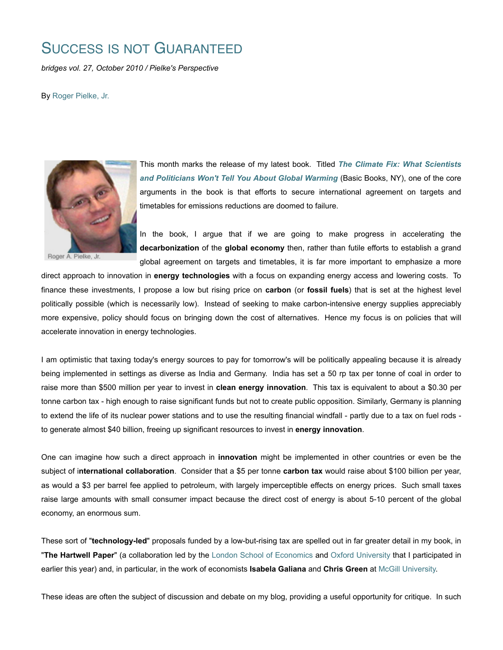## SUCCESS IS NOT GUARANTEED

*bridges vol. 27, October 2010 / Pielke's Perspective*

By Roger Pielke, Jr.



Roger A. Pielke, Jr.

This month marks the release of my latest book. Titled *The Climate Fix: What Scientists and Politicians Won't Tell You About Global Warming* (Basic Books, NY), one of the core arguments in the book is that efforts to secure international agreement on targets and timetables for emissions reductions are doomed to failure.

In the book, I argue that if we are going to make progress in accelerating the **decarbonization** of the **global economy** then, rather than futile efforts to establish a grand global agreement on targets and timetables, it is far more important to emphasize a more

direct approach to innovation in **energy technologies** with a focus on expanding energy access and lowering costs. To finance these investments, I propose a low but rising price on **carbon** (or **fossil fuels**) that is set at the highest level politically possible (which is necessarily low). Instead of seeking to make carbon-intensive energy supplies appreciably more expensive, policy should focus on bringing down the cost of alternatives. Hence my focus is on policies that will accelerate innovation in energy technologies.

I am optimistic that taxing today's energy sources to pay for tomorrow's will be politically appealing because it is already being implemented in settings as diverse as India and Germany. India has set a 50 rp tax per tonne of coal in order to raise more than \$500 million per year to invest in **clean energy innovation**. This tax is equivalent to about a \$0.30 per tonne carbon tax - high enough to raise significant funds but not to create public opposition. Similarly, Germany is planning to extend the life of its nuclear power stations and to use the resulting financial windfall - partly due to a tax on fuel rods to generate almost \$40 billion, freeing up significant resources to invest in **energy innovation**.

One can imagine how such a direct approach in **innovation** might be implemented in other countries or even be the subject of i**nternational collaboration**. Consider that a \$5 per tonne **carbon tax** would raise about \$100 billion per year, as would a \$3 per barrel fee applied to petroleum, with largely imperceptible effects on energy prices. Such small taxes raise large amounts with small consumer impact because the direct cost of energy is about 5-10 percent of the global economy, an enormous sum.

These sort of "**technology-led**" proposals funded by a low-but-rising tax are spelled out in far greater detail in my book, in "**The Hartwell Paper**" (a collaboration led by the London School of Economics and Oxford University that I participated in earlier this year) and, in particular, in the work of economists **Isabela Galiana** and **Chris Green** at McGill University.

These ideas are often the subject of discussion and debate on my blog, providing a useful opportunity for critique. In such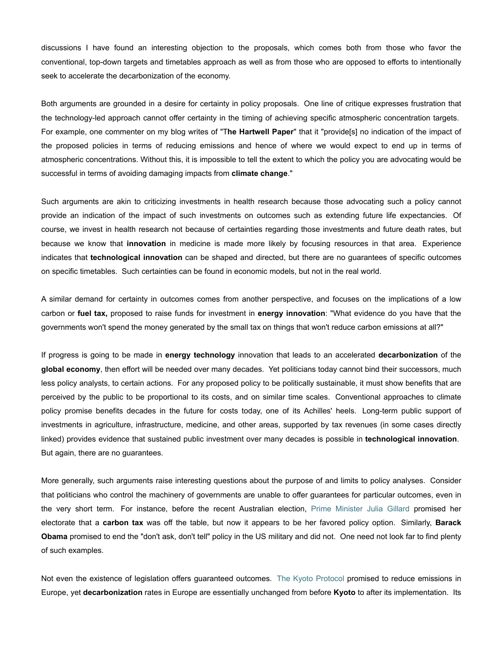discussions I have found an interesting objection to the proposals, which comes both from those who favor the conventional, top-down targets and timetables approach as well as from those who are opposed to efforts to intentionally seek to accelerate the decarbonization of the economy.

Both arguments are grounded in a desire for certainty in policy proposals. One line of critique expresses frustration that the technology-led approach cannot offer certainty in the timing of achieving specific atmospheric concentration targets. For example, one commenter on my blog writes of "T**he Hartwell Paper**" that it "provide[s] no indication of the impact of the proposed policies in terms of reducing emissions and hence of where we would expect to end up in terms of atmospheric concentrations. Without this, it is impossible to tell the extent to which the policy you are advocating would be successful in terms of avoiding damaging impacts from **climate change**."

Such arguments are akin to criticizing investments in health research because those advocating such a policy cannot provide an indication of the impact of such investments on outcomes such as extending future life expectancies. Of course, we invest in health research not because of certainties regarding those investments and future death rates, but because we know that **innovation** in medicine is made more likely by focusing resources in that area. Experience indicates that **technological innovation** can be shaped and directed, but there are no guarantees of specific outcomes on specific timetables. Such certainties can be found in economic models, but not in the real world.

A similar demand for certainty in outcomes comes from another perspective, and focuses on the implications of a low carbon or **fuel tax,** proposed to raise funds for investment in **energy innovation**: "What evidence do you have that the governments won't spend the money generated by the small tax on things that won't reduce carbon emissions at all?"

If progress is going to be made in **energy technology** innovation that leads to an accelerated **decarbonization** of the **global economy**, then effort will be needed over many decades. Yet politicians today cannot bind their successors, much less policy analysts, to certain actions. For any proposed policy to be politically sustainable, it must show benefits that are perceived by the public to be proportional to its costs, and on similar time scales. Conventional approaches to climate policy promise benefits decades in the future for costs today, one of its Achilles' heels. Long-term public support of investments in agriculture, infrastructure, medicine, and other areas, supported by tax revenues (in some cases directly linked) provides evidence that sustained public investment over many decades is possible in **technological innovation**. But again, there are no guarantees.

More generally, such arguments raise interesting questions about the purpose of and limits to policy analyses. Consider that politicians who control the machinery of governments are unable to offer guarantees for particular outcomes, even in the very short term. For instance, before the recent Australian election, Prime Minister Julia Gillard promised her electorate that a **carbon tax** was off the table, but now it appears to be her favored policy option. Similarly, **Barack Obama** promised to end the "don't ask, don't tell" policy in the US military and did not. One need not look far to find plenty of such examples.

Not even the existence of legislation offers guaranteed outcomes. The Kyoto Protocol promised to reduce emissions in Europe, yet **decarbonization** rates in Europe are essentially unchanged from before **Kyoto** to after its implementation. Its